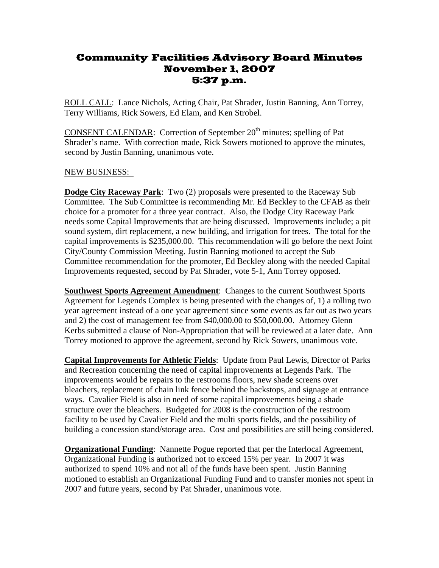## Community Facilities Advisory Board Minutes November 1, 2007 5:37 p.m.

ROLL CALL: Lance Nichols, Acting Chair, Pat Shrader, Justin Banning, Ann Torrey, Terry Williams, Rick Sowers, Ed Elam, and Ken Strobel.

CONSENT CALENDAR: Correction of September 20<sup>th</sup> minutes; spelling of Pat Shrader's name. With correction made, Rick Sowers motioned to approve the minutes, second by Justin Banning, unanimous vote.

## NEW BUSINESS:

**Dodge City Raceway Park**: Two (2) proposals were presented to the Raceway Sub Committee. The Sub Committee is recommending Mr. Ed Beckley to the CFAB as their choice for a promoter for a three year contract. Also, the Dodge City Raceway Park needs some Capital Improvements that are being discussed. Improvements include; a pit sound system, dirt replacement, a new building, and irrigation for trees. The total for the capital improvements is \$235,000.00. This recommendation will go before the next Joint City/County Commission Meeting. Justin Banning motioned to accept the Sub Committee recommendation for the promoter, Ed Beckley along with the needed Capital Improvements requested, second by Pat Shrader, vote 5-1, Ann Torrey opposed.

**Southwest Sports Agreement Amendment**: Changes to the current Southwest Sports Agreement for Legends Complex is being presented with the changes of, 1) a rolling two year agreement instead of a one year agreement since some events as far out as two years and 2) the cost of management fee from \$40,000.00 to \$50,000.00. Attorney Glenn Kerbs submitted a clause of Non-Appropriation that will be reviewed at a later date. Ann Torrey motioned to approve the agreement, second by Rick Sowers, unanimous vote.

**Capital Improvements for Athletic Fields**: Update from Paul Lewis, Director of Parks and Recreation concerning the need of capital improvements at Legends Park. The improvements would be repairs to the restrooms floors, new shade screens over bleachers, replacement of chain link fence behind the backstops, and signage at entrance ways. Cavalier Field is also in need of some capital improvements being a shade structure over the bleachers. Budgeted for 2008 is the construction of the restroom facility to be used by Cavalier Field and the multi sports fields, and the possibility of building a concession stand/storage area. Cost and possibilities are still being considered.

**Organizational Funding**: Nannette Pogue reported that per the Interlocal Agreement, Organizational Funding is authorized not to exceed 15% per year. In 2007 it was authorized to spend 10% and not all of the funds have been spent. Justin Banning motioned to establish an Organizational Funding Fund and to transfer monies not spent in 2007 and future years, second by Pat Shrader, unanimous vote.